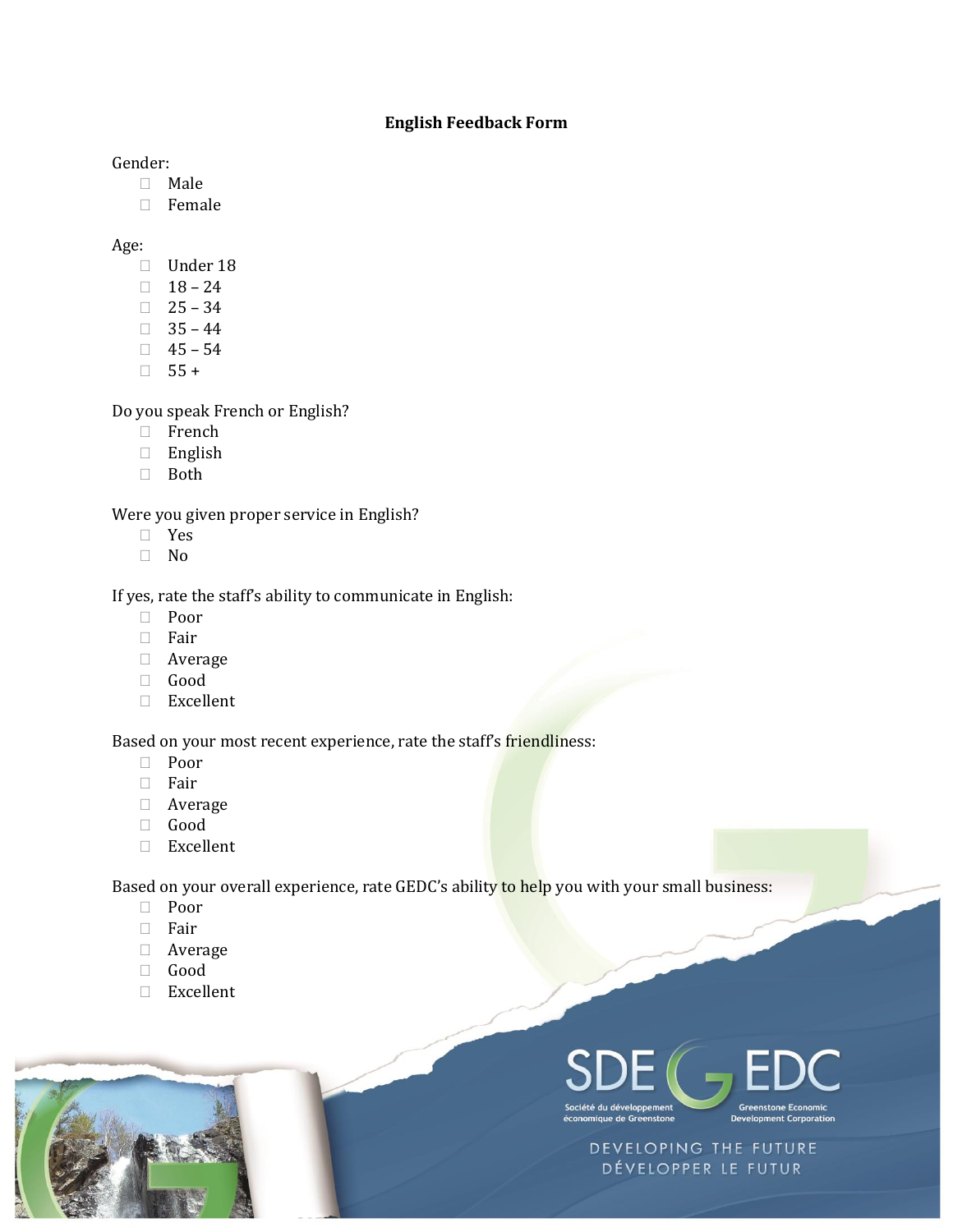## **English Feedback Form**

Gender:

- $\Box$  Male
- Female

Age:

- Under 18
- $18 24$
- $\Box$  25 34
- $\Box$  35 44
- $\Box$  45 54
- $\Box$  55 +

Do you speak French or English?

- French
- English
- Both

Were you given proper service in English?

- Yes
- No

If yes, rate the staff's ability to communicate in English:

- D Poor
- $\Box$  Fair
- Average
- Good
- Excellent

Based on your most recent experience, rate the staff's friendliness:

- Poor
- Fair
- Average
- Good
- $\Box$  Excellent

Based on your overall experience, rate GEDC's ability to help you with your small business:

- D Poor
- □ Fair
- Average
- Good
- Excellent





DEVELOPING THE FUTURE DÉVELOPPER LE FUTUR